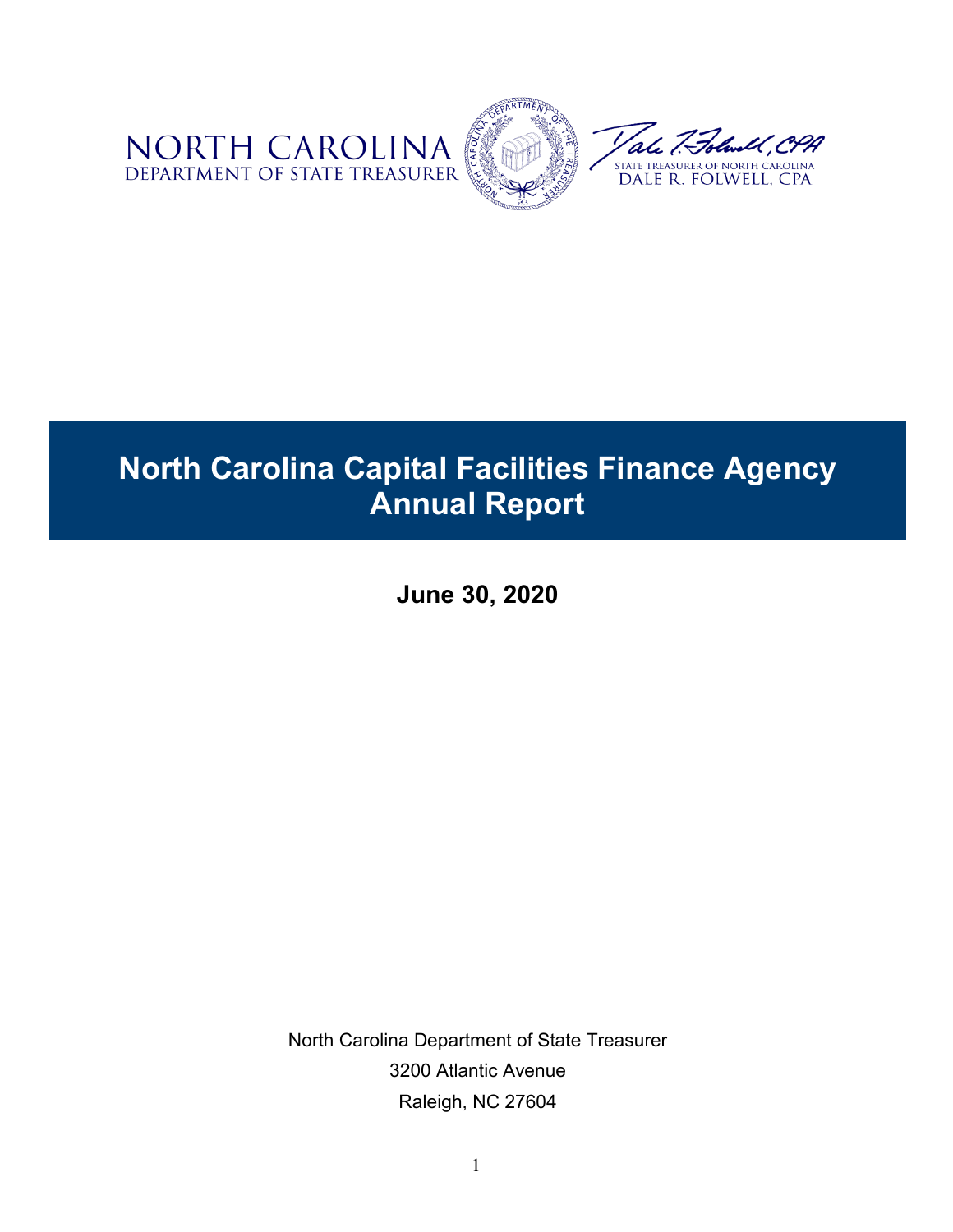

# **North Carolina Capital Facilities Finance Agency Annual Report**

**June 30, 2020**

North Carolina Department of State Treasurer 3200 Atlantic Avenue Raleigh, NC 27604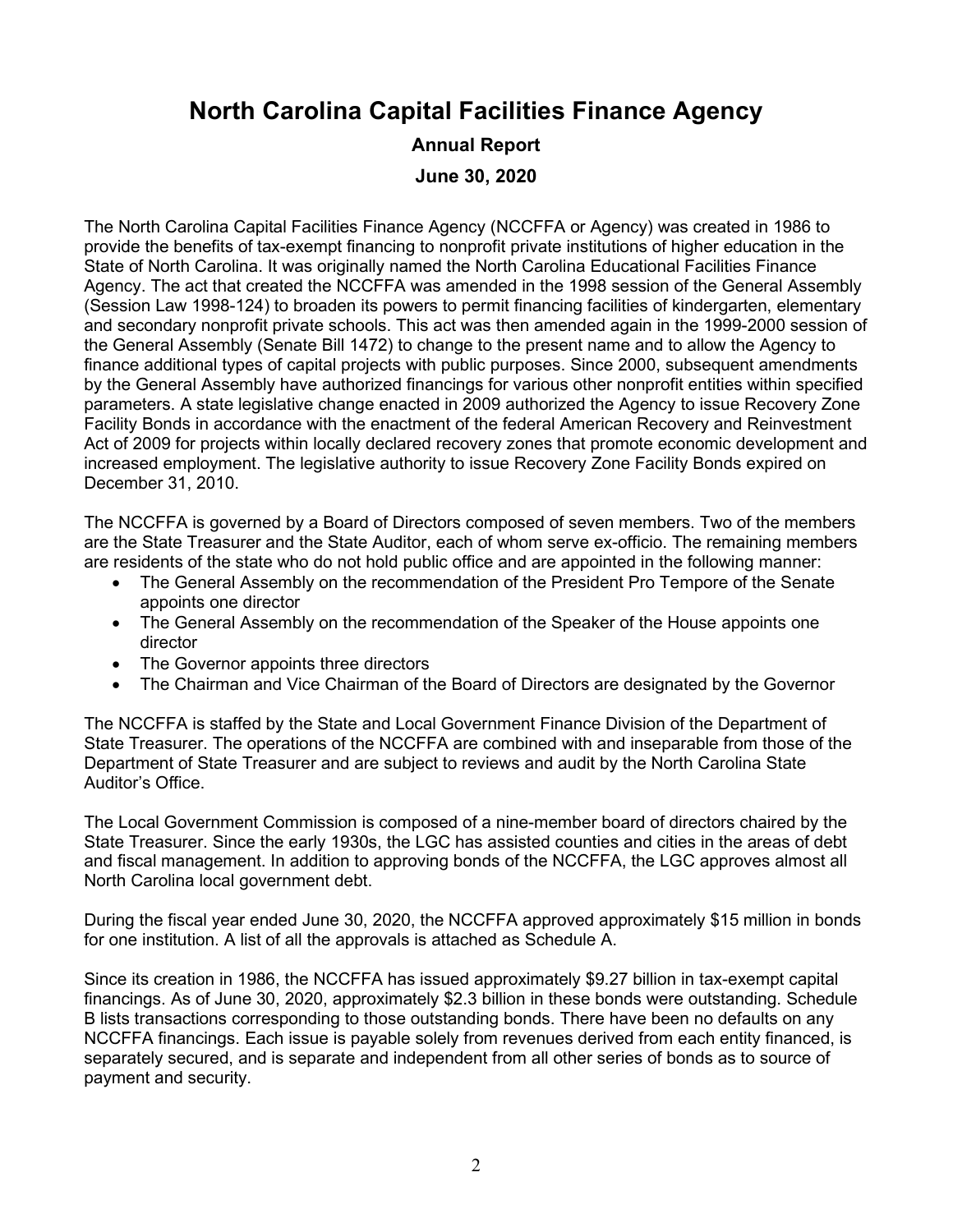## **North Carolina Capital Facilities Finance Agency**

#### **Annual Report June 30, 2020**

The North Carolina Capital Facilities Finance Agency (NCCFFA or Agency) was created in 1986 to provide the benefits of tax-exempt financing to nonprofit private institutions of higher education in the State of North Carolina. It was originally named the North Carolina Educational Facilities Finance Agency. The act that created the NCCFFA was amended in the 1998 session of the General Assembly (Session Law 1998-124) to broaden its powers to permit financing facilities of kindergarten, elementary and secondary nonprofit private schools. This act was then amended again in the 1999-2000 session of the General Assembly (Senate Bill 1472) to change to the present name and to allow the Agency to finance additional types of capital projects with public purposes. Since 2000, subsequent amendments by the General Assembly have authorized financings for various other nonprofit entities within specified parameters. A state legislative change enacted in 2009 authorized the Agency to issue Recovery Zone Facility Bonds in accordance with the enactment of the federal American Recovery and Reinvestment Act of 2009 for projects within locally declared recovery zones that promote economic development and increased employment. The legislative authority to issue Recovery Zone Facility Bonds expired on December 31, 2010.

The NCCFFA is governed by a Board of Directors composed of seven members. Two of the members are the State Treasurer and the State Auditor, each of whom serve ex-officio. The remaining members are residents of the state who do not hold public office and are appointed in the following manner:

- The General Assembly on the recommendation of the President Pro Tempore of the Senate appoints one director
- The General Assembly on the recommendation of the Speaker of the House appoints one director
- The Governor appoints three directors
- The Chairman and Vice Chairman of the Board of Directors are designated by the Governor

The NCCFFA is staffed by the State and Local Government Finance Division of the Department of State Treasurer. The operations of the NCCFFA are combined with and inseparable from those of the Department of State Treasurer and are subject to reviews and audit by the North Carolina State Auditor's Office.

The Local Government Commission is composed of a nine-member board of directors chaired by the State Treasurer. Since the early 1930s, the LGC has assisted counties and cities in the areas of debt and fiscal management. In addition to approving bonds of the NCCFFA, the LGC approves almost all North Carolina local government debt.

During the fiscal year ended June 30, 2020, the NCCFFA approved approximately \$15 million in bonds for one institution. A list of all the approvals is attached as Schedule A.

Since its creation in 1986, the NCCFFA has issued approximately \$9.27 billion in tax-exempt capital financings. As of June 30, 2020, approximately \$2.3 billion in these bonds were outstanding. Schedule B lists transactions corresponding to those outstanding bonds. There have been no defaults on any NCCFFA financings. Each issue is payable solely from revenues derived from each entity financed, is separately secured, and is separate and independent from all other series of bonds as to source of payment and security.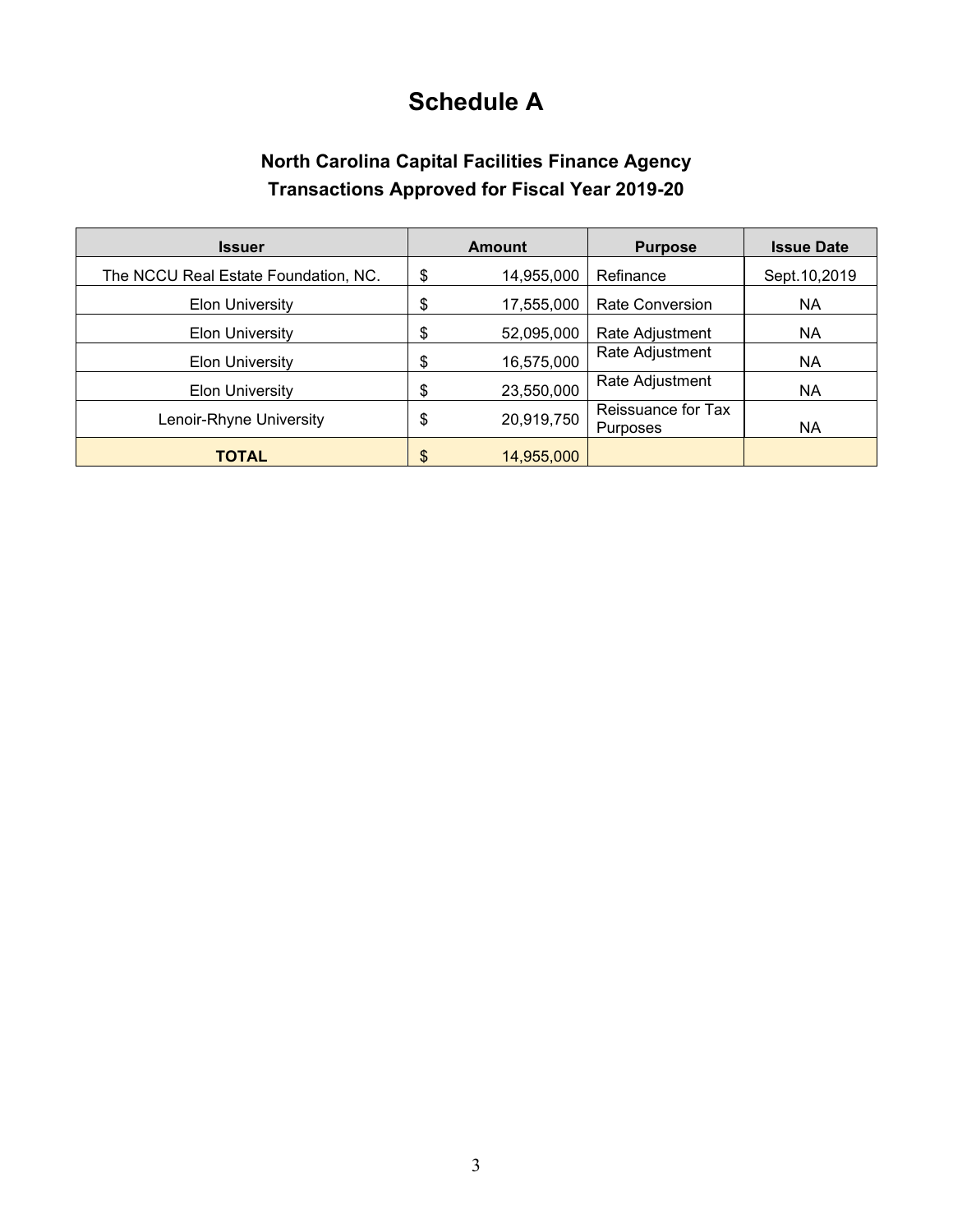## **Schedule A**

### **North Carolina Capital Facilities Finance Agency Transactions Approved for Fiscal Year 2019-20**

| <b>Issuer</b>                        |    | <b>Amount</b> | <b>Purpose</b>                        | <b>Issue Date</b> |
|--------------------------------------|----|---------------|---------------------------------------|-------------------|
| The NCCU Real Estate Foundation, NC. |    | 14,955,000    | Refinance                             | Sept. 10, 2019    |
| <b>Elon University</b>               |    | 17,555,000    | <b>Rate Conversion</b>                | NA.               |
| <b>Elon University</b>               | \$ | 52,095,000    | Rate Adjustment                       | <b>NA</b>         |
| <b>Elon University</b>               | \$ | 16,575,000    | Rate Adjustment                       | <b>NA</b>         |
| <b>Elon University</b>               | \$ | 23,550,000    | Rate Adjustment                       | <b>NA</b>         |
| Lenoir-Rhyne University              |    | 20,919,750    | Reissuance for Tax<br><b>Purposes</b> | NA                |
| TOTAL                                | \$ | 14,955,000    |                                       |                   |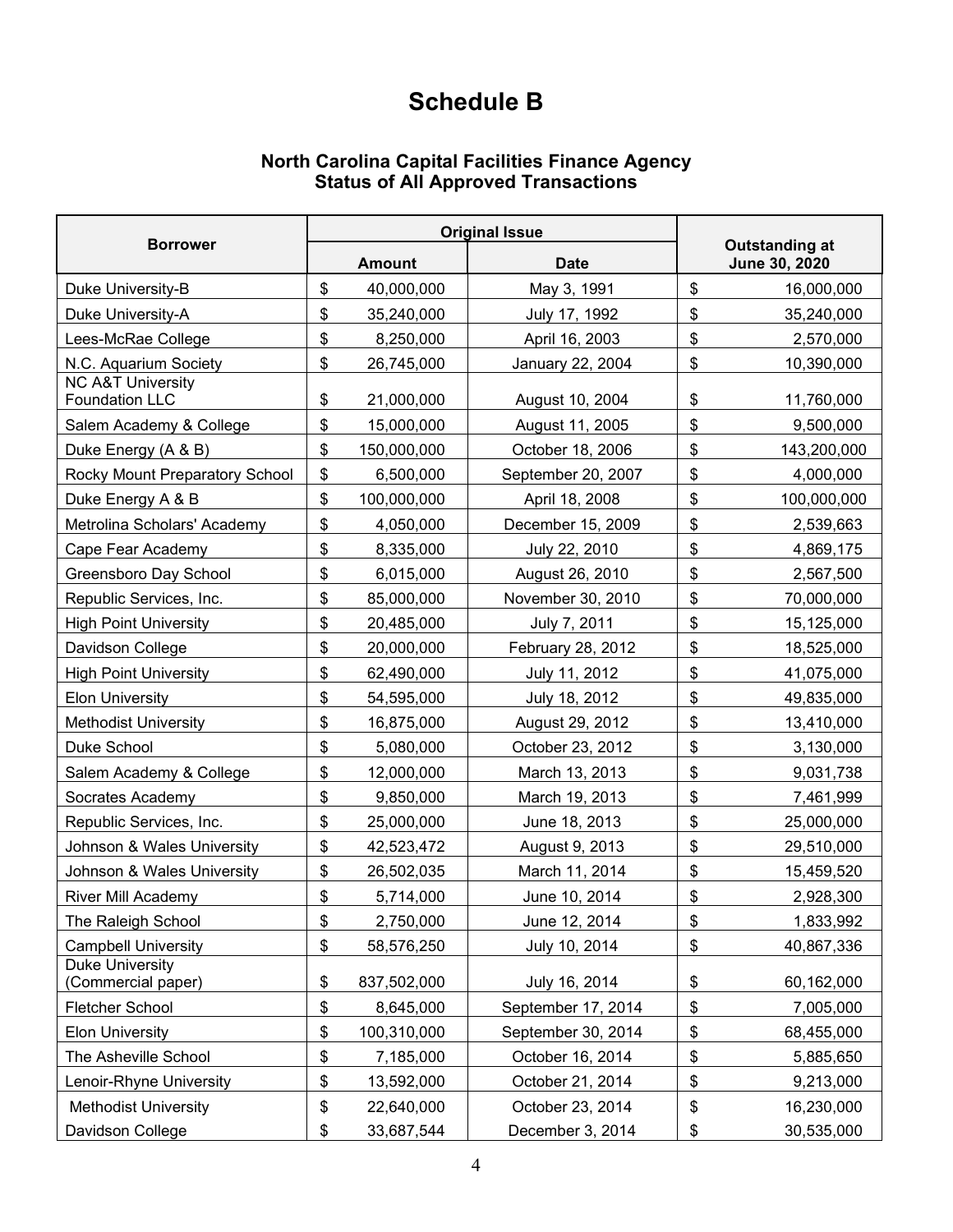## **Schedule B**

#### **North Carolina Capital Facilities Finance Agency Status of All Approved Transactions**

| <b>Borrower</b>                                       |    | <b>Original Issue</b> |                    |                                        |             |
|-------------------------------------------------------|----|-----------------------|--------------------|----------------------------------------|-------------|
|                                                       |    | <b>Amount</b>         | <b>Date</b>        | <b>Outstanding at</b><br>June 30, 2020 |             |
| Duke University-B                                     | \$ | 40,000,000            | May 3, 1991        | \$                                     | 16,000,000  |
| Duke University-A                                     | \$ | 35,240,000            | July 17, 1992      | \$                                     | 35,240,000  |
| Lees-McRae College                                    | \$ | 8,250,000             | April 16, 2003     | \$                                     | 2,570,000   |
| N.C. Aquarium Society                                 | \$ | 26,745,000            | January 22, 2004   | \$                                     | 10,390,000  |
| <b>NC A&amp;T University</b><br><b>Foundation LLC</b> | \$ | 21,000,000            | August 10, 2004    | \$                                     | 11,760,000  |
| Salem Academy & College                               | \$ | 15,000,000            | August 11, 2005    | \$                                     | 9,500,000   |
| Duke Energy (A & B)                                   | \$ | 150,000,000           | October 18, 2006   | \$                                     | 143,200,000 |
| Rocky Mount Preparatory School                        | \$ | 6,500,000             | September 20, 2007 | \$                                     | 4,000,000   |
| Duke Energy A & B                                     | \$ | 100,000,000           | April 18, 2008     | \$                                     | 100,000,000 |
| Metrolina Scholars' Academy                           | \$ | 4,050,000             | December 15, 2009  | \$                                     | 2,539,663   |
| Cape Fear Academy                                     | \$ | 8,335,000             | July 22, 2010      | \$                                     | 4,869,175   |
| Greensboro Day School                                 | \$ | 6,015,000             | August 26, 2010    | \$                                     | 2,567,500   |
| Republic Services, Inc.                               | \$ | 85,000,000            | November 30, 2010  | \$                                     | 70,000,000  |
| <b>High Point University</b>                          | \$ | 20,485,000            | July 7, 2011       | \$                                     | 15,125,000  |
| Davidson College                                      | \$ | 20,000,000            | February 28, 2012  | \$                                     | 18,525,000  |
| <b>High Point University</b>                          | \$ | 62,490,000            | July 11, 2012      | \$                                     | 41,075,000  |
| <b>Elon University</b>                                | \$ | 54,595,000            | July 18, 2012      | \$                                     | 49,835,000  |
| <b>Methodist University</b>                           | \$ | 16,875,000            | August 29, 2012    | \$                                     | 13,410,000  |
| Duke School                                           | \$ | 5,080,000             | October 23, 2012   | \$                                     | 3,130,000   |
| Salem Academy & College                               | \$ | 12,000,000            | March 13, 2013     | \$                                     | 9,031,738   |
| Socrates Academy                                      | \$ | 9,850,000             | March 19, 2013     | \$                                     | 7,461,999   |
| Republic Services, Inc.                               | \$ | 25,000,000            | June 18, 2013      | \$                                     | 25,000,000  |
| Johnson & Wales University                            | \$ | 42,523,472            | August 9, 2013     | \$                                     | 29,510,000  |
| Johnson & Wales University                            | \$ | 26,502,035            | March 11, 2014     | \$                                     | 15,459,520  |
| River Mill Academy                                    | \$ | 5,714,000             | June 10, 2014      | \$                                     | 2,928,300   |
| The Raleigh School                                    | \$ | 2,750,000             | June 12, 2014      | \$                                     | 1,833,992   |
| <b>Campbell University</b>                            | \$ | 58,576,250            | July 10, 2014      | \$                                     | 40,867,336  |
| <b>Duke University</b><br>(Commercial paper)          | \$ | 837,502,000           | July 16, 2014      | \$                                     | 60,162,000  |
| Fletcher School                                       | \$ | 8,645,000             | September 17, 2014 | \$                                     | 7,005,000   |
| <b>Elon University</b>                                | \$ | 100,310,000           | September 30, 2014 | \$                                     | 68,455,000  |
| The Asheville School                                  | \$ | 7,185,000             | October 16, 2014   | \$                                     | 5,885,650   |
| Lenoir-Rhyne University                               | \$ | 13,592,000            | October 21, 2014   | \$                                     | 9,213,000   |
| <b>Methodist University</b>                           | \$ | 22,640,000            | October 23, 2014   | \$                                     | 16,230,000  |
| Davidson College                                      | \$ | 33,687,544            | December 3, 2014   | \$                                     | 30,535,000  |